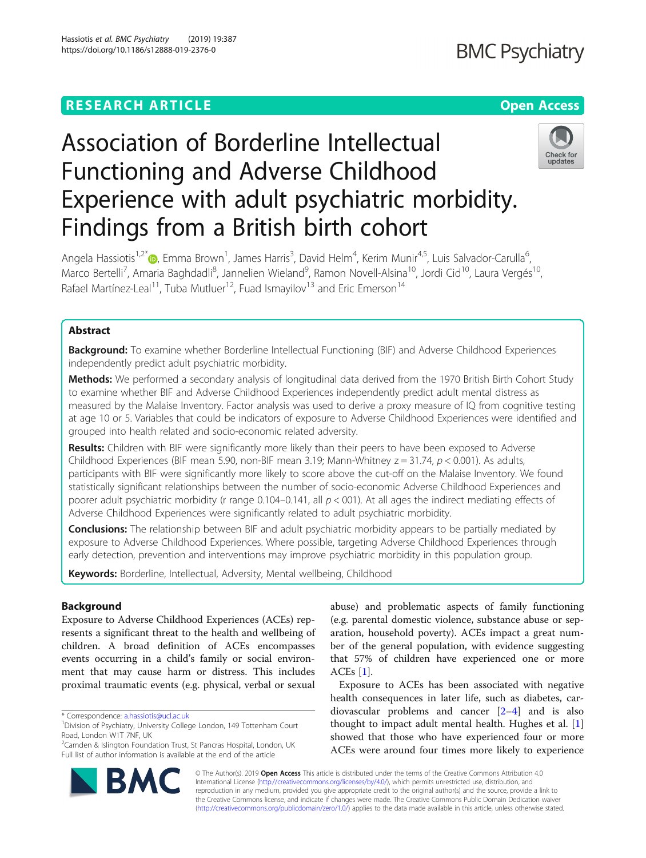Hassiotis et al. BMC Psychiatry (2019) 19:387 https://doi.org/10.1186/s12888-019-2376-0

# Association of Borderline Intellectual Functioning and Adverse Childhood Experience with adult psychiatric morbidity. Findings from a British birth cohort



Angela Hassiotis<sup>1,2\*</sup>®, Emma Brown<sup>1</sup>, James Harris<sup>3</sup>, David Helm<sup>4</sup>, Kerim Munir<sup>4,5</sup>, Luis Salvador-Carulla<sup>6</sup> י<br>, Marco Bertelli<sup>7</sup>, Amaria Baghdadli<sup>8</sup>, Jannelien Wieland<sup>9</sup>, Ramon Novell-Alsina<sup>10</sup>, Jordi Cid<sup>10</sup>, Laura Vergés<sup>10</sup>, Rafael Martínez-Leal<sup>11</sup>, Tuba Mutluer<sup>12</sup>, Fuad Ismayilov<sup>13</sup> and Eric Emerson<sup>14</sup>

# Abstract

Background: To examine whether Borderline Intellectual Functioning (BIF) and Adverse Childhood Experiences independently predict adult psychiatric morbidity.

Methods: We performed a secondary analysis of longitudinal data derived from the 1970 British Birth Cohort Study to examine whether BIF and Adverse Childhood Experiences independently predict adult mental distress as measured by the Malaise Inventory. Factor analysis was used to derive a proxy measure of IQ from cognitive testing at age 10 or 5. Variables that could be indicators of exposure to Adverse Childhood Experiences were identified and grouped into health related and socio-economic related adversity.

Results: Children with BIF were significantly more likely than their peers to have been exposed to Adverse Childhood Experiences (BIF mean 5.90, non-BIF mean 3.19; Mann-Whitney  $z = 31.74$ ,  $p < 0.001$ ). As adults, participants with BIF were significantly more likely to score above the cut-off on the Malaise Inventory. We found statistically significant relationships between the number of socio-economic Adverse Childhood Experiences and poorer adult psychiatric morbidity (r range 0.104–0.141, all  $p < 001$ ). At all ages the indirect mediating effects of Adverse Childhood Experiences were significantly related to adult psychiatric morbidity.

**Conclusions:** The relationship between BIF and adult psychiatric morbidity appears to be partially mediated by exposure to Adverse Childhood Experiences. Where possible, targeting Adverse Childhood Experiences through early detection, prevention and interventions may improve psychiatric morbidity in this population group.

Keywords: Borderline, Intellectual, Adversity, Mental wellbeing, Childhood

# Background

Exposure to Adverse Childhood Experiences (ACEs) represents a significant threat to the health and wellbeing of children. A broad definition of ACEs encompasses events occurring in a child's family or social environment that may cause harm or distress. This includes proximal traumatic events (e.g. physical, verbal or sexual

BA

<sup>2</sup>Camden & Islington Foundation Trust, St Pancras Hospital, London, UK Full list of author information is available at the end of the article



Exposure to ACEs has been associated with negative health consequences in later life, such as diabetes, cardiovascular problems and cancer [\[2](#page-7-0)–[4](#page-7-0)] and is also thought to impact adult mental health. Hughes et al. [\[1](#page-7-0)] showed that those who have experienced four or more ACEs were around four times more likely to experience



<sup>\*</sup> Correspondence: [a.hassiotis@ucl.ac.uk](mailto:a.hassiotis@ucl.ac.uk) <sup>1</sup>

<sup>&</sup>lt;sup>1</sup> Division of Psychiatry, University College London, 149 Tottenham Court Road, London W1T 7NF, UK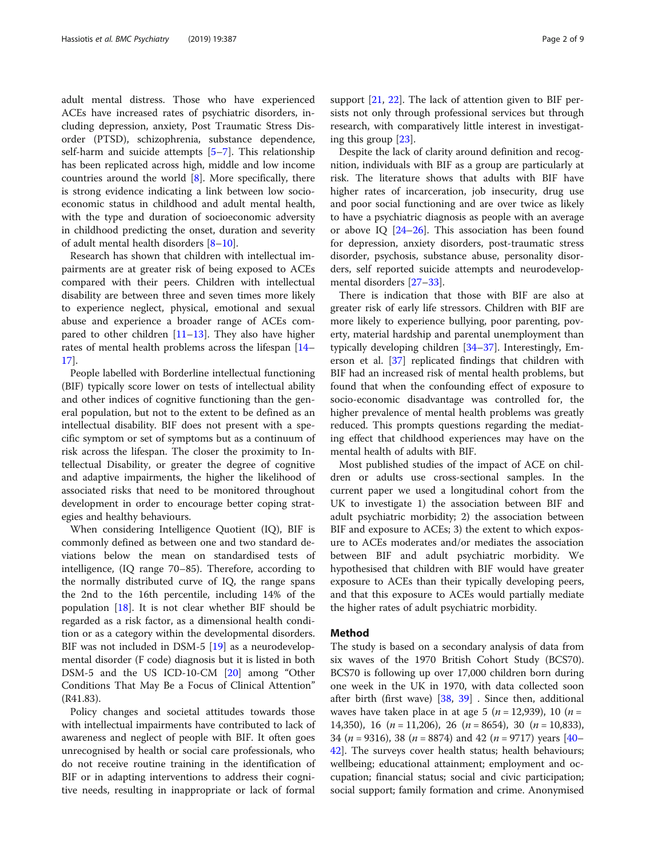adult mental distress. Those who have experienced ACEs have increased rates of psychiatric disorders, including depression, anxiety, Post Traumatic Stress Disorder (PTSD), schizophrenia, substance dependence, self-harm and suicide attempts [[5](#page-7-0)–[7](#page-7-0)]. This relationship has been replicated across high, middle and low income countries around the world [[8\]](#page-7-0). More specifically, there is strong evidence indicating a link between low socioeconomic status in childhood and adult mental health, with the type and duration of socioeconomic adversity in childhood predicting the onset, duration and severity of adult mental health disorders [[8](#page-7-0)–[10\]](#page-7-0).

Research has shown that children with intellectual impairments are at greater risk of being exposed to ACEs compared with their peers. Children with intellectual disability are between three and seven times more likely to experience neglect, physical, emotional and sexual abuse and experience a broader range of ACEs compared to other children  $[11–13]$  $[11–13]$  $[11–13]$ . They also have higher rates of mental health problems across the lifespan [[14](#page-7-0)– [17\]](#page-7-0).

People labelled with Borderline intellectual functioning (BIF) typically score lower on tests of intellectual ability and other indices of cognitive functioning than the general population, but not to the extent to be defined as an intellectual disability. BIF does not present with a specific symptom or set of symptoms but as a continuum of risk across the lifespan. The closer the proximity to Intellectual Disability, or greater the degree of cognitive and adaptive impairments, the higher the likelihood of associated risks that need to be monitored throughout development in order to encourage better coping strategies and healthy behaviours.

When considering Intelligence Quotient (IQ), BIF is commonly defined as between one and two standard deviations below the mean on standardised tests of intelligence, (IQ range 70–85). Therefore, according to the normally distributed curve of IQ, the range spans the 2nd to the 16th percentile, including 14% of the population [[18](#page-7-0)]. It is not clear whether BIF should be regarded as a risk factor, as a dimensional health condition or as a category within the developmental disorders. BIF was not included in DSM-5 [[19\]](#page-7-0) as a neurodevelopmental disorder (F code) diagnosis but it is listed in both DSM-5 and the US ICD-10-CM [[20\]](#page-7-0) among "Other Conditions That May Be a Focus of Clinical Attention" (R41.83).

Policy changes and societal attitudes towards those with intellectual impairments have contributed to lack of awareness and neglect of people with BIF. It often goes unrecognised by health or social care professionals, who do not receive routine training in the identification of BIF or in adapting interventions to address their cognitive needs, resulting in inappropriate or lack of formal support [[21,](#page-7-0) [22\]](#page-7-0). The lack of attention given to BIF persists not only through professional services but through research, with comparatively little interest in investigating this group [\[23](#page-7-0)].

Despite the lack of clarity around definition and recognition, individuals with BIF as a group are particularly at risk. The literature shows that adults with BIF have higher rates of incarceration, job insecurity, drug use and poor social functioning and are over twice as likely to have a psychiatric diagnosis as people with an average or above IQ [[24](#page-7-0)–[26\]](#page-7-0). This association has been found for depression, anxiety disorders, post-traumatic stress disorder, psychosis, substance abuse, personality disorders, self reported suicide attempts and neurodevelopmental disorders [\[27](#page-7-0)–[33\]](#page-7-0).

There is indication that those with BIF are also at greater risk of early life stressors. Children with BIF are more likely to experience bullying, poor parenting, poverty, material hardship and parental unemployment than typically developing children [\[34](#page-7-0)–[37\]](#page-7-0). Interestingly, Emerson et al. [\[37](#page-7-0)] replicated findings that children with BIF had an increased risk of mental health problems, but found that when the confounding effect of exposure to socio-economic disadvantage was controlled for, the higher prevalence of mental health problems was greatly reduced. This prompts questions regarding the mediating effect that childhood experiences may have on the mental health of adults with BIF.

Most published studies of the impact of ACE on children or adults use cross-sectional samples. In the current paper we used a longitudinal cohort from the UK to investigate 1) the association between BIF and adult psychiatric morbidity; 2) the association between BIF and exposure to ACEs; 3) the extent to which exposure to ACEs moderates and/or mediates the association between BIF and adult psychiatric morbidity. We hypothesised that children with BIF would have greater exposure to ACEs than their typically developing peers, and that this exposure to ACEs would partially mediate the higher rates of adult psychiatric morbidity.

# Method

The study is based on a secondary analysis of data from six waves of the 1970 British Cohort Study (BCS70). BCS70 is following up over 17,000 children born during one week in the UK in 1970, with data collected soon after birth (first wave) [\[38](#page-7-0), [39\]](#page-7-0) . Since then, additional waves have taken place in at age 5 ( $n = 12,939$ ), 10 ( $n =$ 14,350), 16 ( $n = 11,206$ ), 26 ( $n = 8654$ ), 30 ( $n = 10,833$ ), 34 ( $n = 9316$ ), 38 ( $n = 8874$ ) and 42 ( $n = 9717$ ) years [[40](#page-7-0)– [42\]](#page-7-0). The surveys cover health status; health behaviours; wellbeing; educational attainment; employment and occupation; financial status; social and civic participation; social support; family formation and crime. Anonymised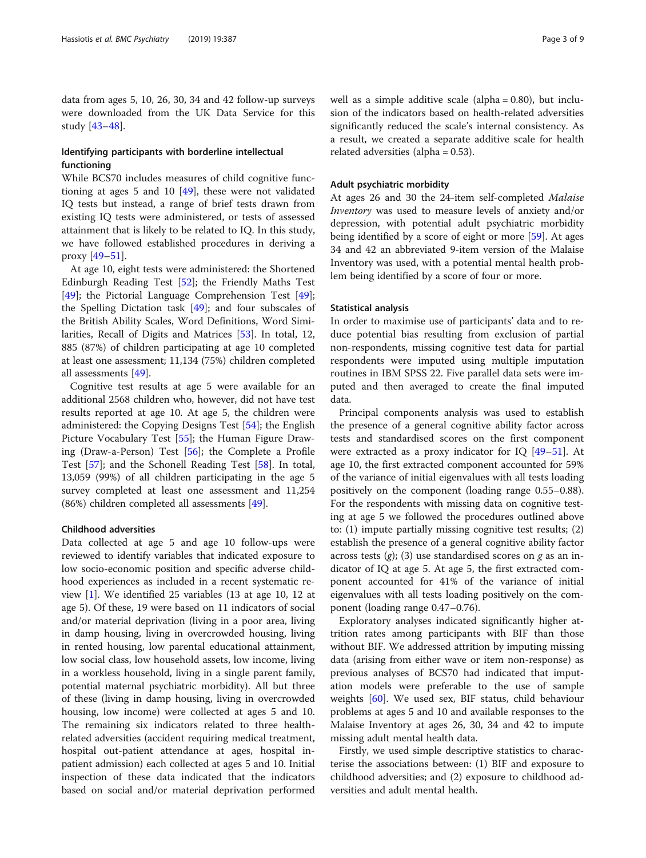data from ages 5, 10, 26, 30, 34 and 42 follow-up surveys were downloaded from the UK Data Service for this study [[43](#page-8-0)–[48](#page-8-0)].

# Identifying participants with borderline intellectual functioning

While BCS70 includes measures of child cognitive functioning at ages 5 and 10 [\[49](#page-8-0)], these were not validated IQ tests but instead, a range of brief tests drawn from existing IQ tests were administered, or tests of assessed attainment that is likely to be related to IQ. In this study, we have followed established procedures in deriving a proxy [[49](#page-8-0)–[51\]](#page-8-0).

At age 10, eight tests were administered: the Shortened Edinburgh Reading Test [\[52\]](#page-8-0); the Friendly Maths Test [[49\]](#page-8-0); the Pictorial Language Comprehension Test [\[49](#page-8-0)]; the Spelling Dictation task [[49](#page-8-0)]; and four subscales of the British Ability Scales, Word Definitions, Word Similarities, Recall of Digits and Matrices [\[53](#page-8-0)]. In total, 12, 885 (87%) of children participating at age 10 completed at least one assessment; 11,134 (75%) children completed all assessments [\[49\]](#page-8-0).

Cognitive test results at age 5 were available for an additional 2568 children who, however, did not have test results reported at age 10. At age 5, the children were administered: the Copying Designs Test [[54](#page-8-0)]; the English Picture Vocabulary Test [[55](#page-8-0)]; the Human Figure Drawing (Draw-a-Person) Test [[56](#page-8-0)]; the Complete a Profile Test [[57\]](#page-8-0); and the Schonell Reading Test [[58\]](#page-8-0). In total, 13,059 (99%) of all children participating in the age 5 survey completed at least one assessment and 11,254 (86%) children completed all assessments [\[49\]](#page-8-0).

# Childhood adversities

Data collected at age 5 and age 10 follow-ups were reviewed to identify variables that indicated exposure to low socio-economic position and specific adverse childhood experiences as included in a recent systematic review [[1\]](#page-7-0). We identified 25 variables (13 at age 10, 12 at age 5). Of these, 19 were based on 11 indicators of social and/or material deprivation (living in a poor area, living in damp housing, living in overcrowded housing, living in rented housing, low parental educational attainment, low social class, low household assets, low income, living in a workless household, living in a single parent family, potential maternal psychiatric morbidity). All but three of these (living in damp housing, living in overcrowded housing, low income) were collected at ages 5 and 10. The remaining six indicators related to three healthrelated adversities (accident requiring medical treatment, hospital out-patient attendance at ages, hospital inpatient admission) each collected at ages 5 and 10. Initial inspection of these data indicated that the indicators based on social and/or material deprivation performed well as a simple additive scale (alpha = 0.80), but inclusion of the indicators based on health-related adversities significantly reduced the scale's internal consistency. As a result, we created a separate additive scale for health related adversities (alpha = 0.53).

# Adult psychiatric morbidity

At ages 26 and 30 the 24-item self-completed Malaise Inventory was used to measure levels of anxiety and/or depression, with potential adult psychiatric morbidity being identified by a score of eight or more [[59\]](#page-8-0). At ages 34 and 42 an abbreviated 9-item version of the Malaise Inventory was used, with a potential mental health problem being identified by a score of four or more.

# Statistical analysis

In order to maximise use of participants' data and to reduce potential bias resulting from exclusion of partial non-respondents, missing cognitive test data for partial respondents were imputed using multiple imputation routines in IBM SPSS 22. Five parallel data sets were imputed and then averaged to create the final imputed data.

Principal components analysis was used to establish the presence of a general cognitive ability factor across tests and standardised scores on the first component were extracted as a proxy indicator for IQ [\[49](#page-8-0)–[51\]](#page-8-0). At age 10, the first extracted component accounted for 59% of the variance of initial eigenvalues with all tests loading positively on the component (loading range 0.55–0.88). For the respondents with missing data on cognitive testing at age 5 we followed the procedures outlined above to: (1) impute partially missing cognitive test results; (2) establish the presence of a general cognitive ability factor across tests  $(g)$ ; (3) use standardised scores on  $g$  as an indicator of IQ at age 5. At age 5, the first extracted component accounted for 41% of the variance of initial eigenvalues with all tests loading positively on the component (loading range 0.47–0.76).

Exploratory analyses indicated significantly higher attrition rates among participants with BIF than those without BIF. We addressed attrition by imputing missing data (arising from either wave or item non-response) as previous analyses of BCS70 had indicated that imputation models were preferable to the use of sample weights [\[60](#page-8-0)]. We used sex, BIF status, child behaviour problems at ages 5 and 10 and available responses to the Malaise Inventory at ages 26, 30, 34 and 42 to impute missing adult mental health data.

Firstly, we used simple descriptive statistics to characterise the associations between: (1) BIF and exposure to childhood adversities; and (2) exposure to childhood adversities and adult mental health.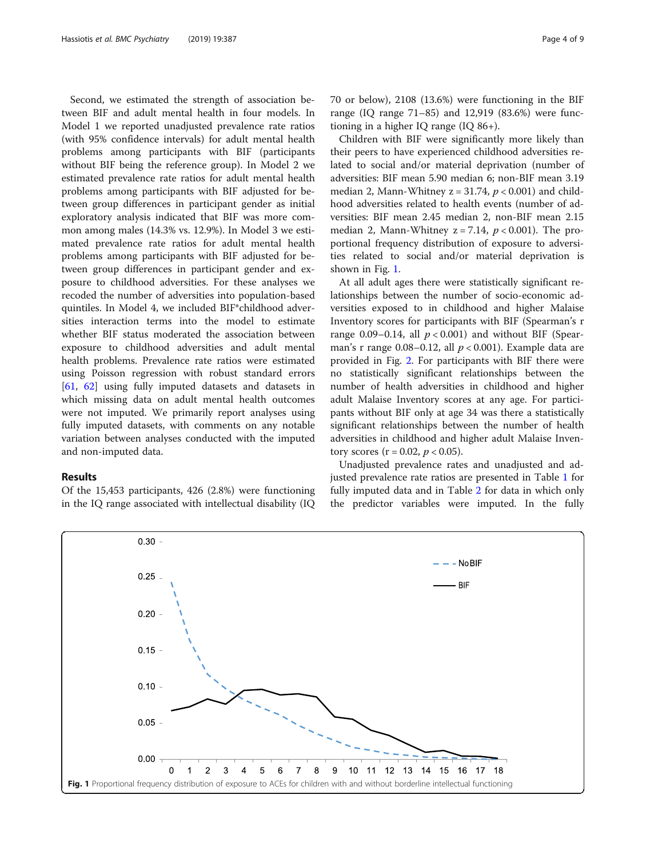Second, we estimated the strength of association between BIF and adult mental health in four models. In Model 1 we reported unadjusted prevalence rate ratios (with 95% confidence intervals) for adult mental health problems among participants with BIF (participants without BIF being the reference group). In Model 2 we estimated prevalence rate ratios for adult mental health problems among participants with BIF adjusted for between group differences in participant gender as initial exploratory analysis indicated that BIF was more common among males (14.3% vs. 12.9%). In Model 3 we estimated prevalence rate ratios for adult mental health problems among participants with BIF adjusted for between group differences in participant gender and exposure to childhood adversities. For these analyses we recoded the number of adversities into population-based quintiles. In Model 4, we included BIF\*childhood adversities interaction terms into the model to estimate whether BIF status moderated the association between exposure to childhood adversities and adult mental health problems. Prevalence rate ratios were estimated using Poisson regression with robust standard errors [[61,](#page-8-0) [62](#page-8-0)] using fully imputed datasets and datasets in which missing data on adult mental health outcomes were not imputed. We primarily report analyses using fully imputed datasets, with comments on any notable variation between analyses conducted with the imputed and non-imputed data.

# Results

Of the 15,453 participants, 426 (2.8%) were functioning in the IQ range associated with intellectual disability (IQ

70 or below), 2108 (13.6%) were functioning in the BIF range (IQ range 71–85) and 12,919 (83.6%) were functioning in a higher IQ range (IQ 86+).

Children with BIF were significantly more likely than their peers to have experienced childhood adversities related to social and/or material deprivation (number of adversities: BIF mean 5.90 median 6; non-BIF mean 3.19 median 2, Mann-Whitney  $z = 31.74$ ,  $p < 0.001$ ) and childhood adversities related to health events (number of adversities: BIF mean 2.45 median 2, non-BIF mean 2.15 median 2, Mann-Whitney  $z = 7.14$ ,  $p < 0.001$ ). The proportional frequency distribution of exposure to adversities related to social and/or material deprivation is shown in Fig. 1.

At all adult ages there were statistically significant relationships between the number of socio-economic adversities exposed to in childhood and higher Malaise Inventory scores for participants with BIF (Spearman's r range 0.09–0.14, all  $p < 0.001$ ) and without BIF (Spearman's r range  $0.08-0.12$ , all  $p < 0.001$ ). Example data are provided in Fig. [2](#page-4-0). For participants with BIF there were no statistically significant relationships between the number of health adversities in childhood and higher adult Malaise Inventory scores at any age. For participants without BIF only at age 34 was there a statistically significant relationships between the number of health adversities in childhood and higher adult Malaise Inventory scores ( $r = 0.02$ ,  $p < 0.05$ ).

Unadjusted prevalence rates and unadjusted and adjusted prevalence rate ratios are presented in Table [1](#page-4-0) for fully imputed data and in Table [2](#page-5-0) for data in which only the predictor variables were imputed. In the fully

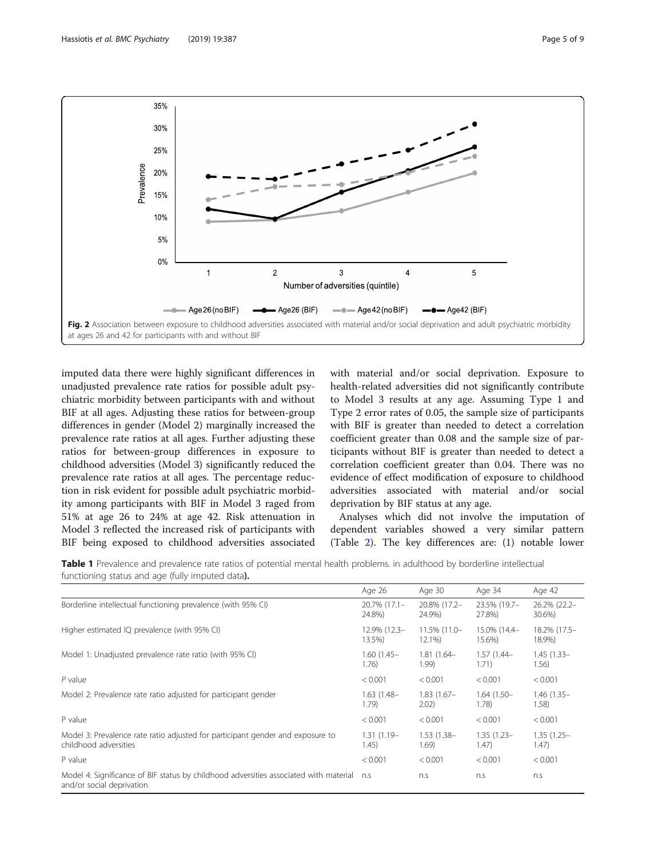<span id="page-4-0"></span>

imputed data there were highly significant differences in unadjusted prevalence rate ratios for possible adult psychiatric morbidity between participants with and without BIF at all ages. Adjusting these ratios for between-group differences in gender (Model 2) marginally increased the prevalence rate ratios at all ages. Further adjusting these ratios for between-group differences in exposure to childhood adversities (Model 3) significantly reduced the prevalence rate ratios at all ages. The percentage reduction in risk evident for possible adult psychiatric morbidity among participants with BIF in Model 3 raged from 51% at age 26 to 24% at age 42. Risk attenuation in Model 3 reflected the increased risk of participants with BIF being exposed to childhood adversities associated

with material and/or social deprivation. Exposure to health-related adversities did not significantly contribute to Model 3 results at any age. Assuming Type 1 and Type 2 error rates of 0.05, the sample size of participants with BIF is greater than needed to detect a correlation coefficient greater than 0.08 and the sample size of participants without BIF is greater than needed to detect a correlation coefficient greater than 0.04. There was no evidence of effect modification of exposure to childhood adversities associated with material and/or social deprivation by BIF status at any age.

Analyses which did not involve the imputation of dependent variables showed a very similar pattern (Table [2](#page-5-0)). The key differences are: (1) notable lower

Table 1 Prevalence and prevalence rate ratios of potential mental health problems. in adulthood by borderline intellectual functioning status and age (fully imputed data).

|                                                                                                                    | Age 26        | Age 30        | Age 34        | Age 42        |
|--------------------------------------------------------------------------------------------------------------------|---------------|---------------|---------------|---------------|
| Borderline intellectual functioning prevalence (with 95% CI)                                                       | 20.7% (17.1-  | 20.8% (17.2-  | 23.5% (19.7-  | 26.2% (22.2-  |
|                                                                                                                    | 24.8%)        | 24.9%)        | 27.8%)        | 30.6%)        |
| Higher estimated IQ prevalence (with 95% CI)                                                                       | 12.9% (12.3-  | 11.5% (11.0-  | 15.0% (14.4-  | 18.2% (17.5-  |
|                                                                                                                    | 13.5%)        | 12.1%)        | 15.6%)        | 18.9%)        |
| Model 1: Unadjusted prevalence rate ratio (with 95% CI)                                                            | $1.60(1.45 -$ | $1.81(1.64 -$ | $1.57(1.44 -$ | $1.45(1.33 -$ |
|                                                                                                                    | 1.76)         | 1.99)         | 1.71)         | 1.56)         |
| $P$ value                                                                                                          | < 0.001       | < 0.001       | < 0.001       | < 0.001       |
| Model 2: Prevalence rate ratio adjusted for participant gender                                                     | $1.63(1.48 -$ | $1.83(1.67 -$ | $1.64(1.50 -$ | $1.46(1.35 -$ |
|                                                                                                                    | 1.79)         | 2.02)         | 1.78)         | 1.58)         |
| P value                                                                                                            | < 0.001       | < 0.001       | < 0.001       | < 0.001       |
| Model 3: Prevalence rate ratio adjusted for participant gender and exposure to                                     | $1.31(1.19-$  | $1.53(1.38 -$ | $1.35(1.23 -$ | $1.35(1.25 -$ |
| childhood adversities                                                                                              | 1.45)         | 1.69)         | 1.47)         | 1.47)         |
| P value                                                                                                            | < 0.001       | < 0.001       | < 0.001       | < 0.001       |
| Model 4: Significance of BIF status by childhood adversities associated with material<br>and/or social deprivation | n.S           | n.S           | n.S           | n.S           |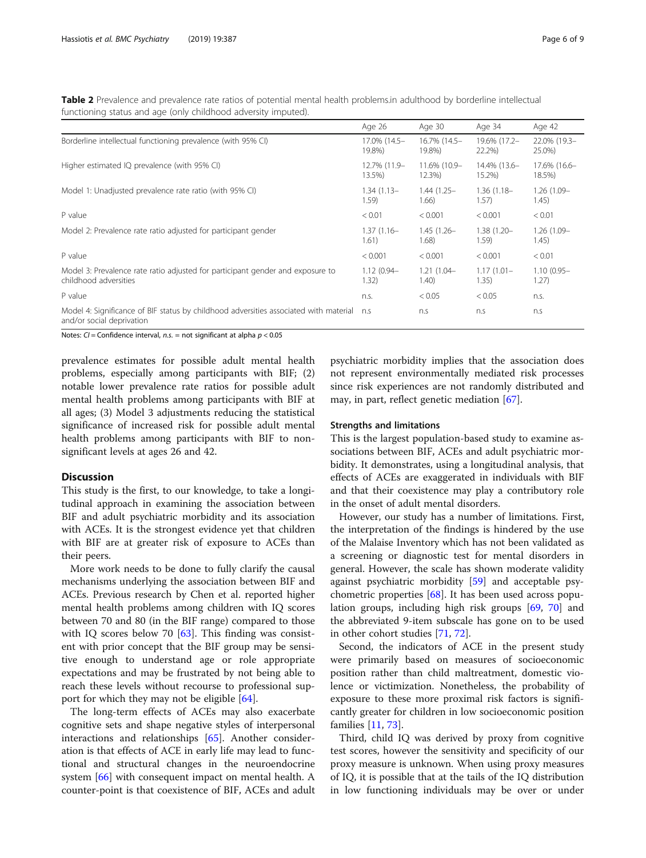<span id="page-5-0"></span>Table 2 Prevalence and prevalence rate ratios of potential mental health problems.in adulthood by borderline intellectual functioning status and age (only childhood adversity imputed).

|                                                                                                                    | Age 26        | Age 30        | Age 34        | Age 42        |
|--------------------------------------------------------------------------------------------------------------------|---------------|---------------|---------------|---------------|
| Borderline intellectual functioning prevalence (with 95% CI)                                                       | 17.0% (14.5-  | 16.7% (14.5-  | 19.6% (17.2-  | 22.0% (19.3-  |
|                                                                                                                    | 19.8%)        | 19.8%)        | 22.2%)        | 25.0%)        |
| Higher estimated IQ prevalence (with 95% CI)                                                                       | 12.7% (11.9-  | 11.6% (10.9-  | 14.4% (13.6-  | 17.6% (16.6-  |
|                                                                                                                    | 13.5%)        | 12.3%)        | 15.2%)        | 18.5%)        |
| Model 1: Unadjusted prevalence rate ratio (with 95% CI)                                                            | $1.34(1.13 -$ | $1.44(1.25 -$ | $1.36(1.18 -$ | $1.26(1.09 -$ |
|                                                                                                                    | 1.59)         | 1.66)         | 1.57)         | 1.45)         |
| P value                                                                                                            | < 0.01        | < 0.001       | < 0.001       | < 0.01        |
| Model 2: Prevalence rate ratio adjusted for participant gender                                                     | $1.37(1.16 -$ | $1.45(1.26 -$ | $1.38(1.20 -$ | $1.26(1.09 -$ |
|                                                                                                                    | 1.61)         | 1.68)         | 1.59)         | 1.45)         |
| P value                                                                                                            | < 0.001       | < 0.001       | < 0.001       | < 0.01        |
| Model 3: Prevalence rate ratio adjusted for participant gender and exposure to                                     | $1.12(0.94 -$ | $1.21(1.04 -$ | $1.17(1.01 -$ | $1.10(0.95 -$ |
| childhood adversities                                                                                              | 1.32)         | 1.40)         | 1.35)         | 1.27)         |
| P value                                                                                                            | n.s.          | < 0.05        | < 0.05        | n.s.          |
| Model 4: Significance of BIF status by childhood adversities associated with material<br>and/or social deprivation | n.S           | n.S           | n.S           | n.s           |

Notes:  $CI =$  Confidence interval,  $n.s.$  = not significant at alpha  $p < 0.05$ 

prevalence estimates for possible adult mental health problems, especially among participants with BIF; (2) notable lower prevalence rate ratios for possible adult mental health problems among participants with BIF at all ages; (3) Model 3 adjustments reducing the statistical significance of increased risk for possible adult mental health problems among participants with BIF to nonsignificant levels at ages 26 and 42.

#### **Discussion**

This study is the first, to our knowledge, to take a longitudinal approach in examining the association between BIF and adult psychiatric morbidity and its association with ACEs. It is the strongest evidence yet that children with BIF are at greater risk of exposure to ACEs than their peers.

More work needs to be done to fully clarify the causal mechanisms underlying the association between BIF and ACEs. Previous research by Chen et al. reported higher mental health problems among children with IQ scores between 70 and 80 (in the BIF range) compared to those with IQ scores below 70 [[63](#page-8-0)]. This finding was consistent with prior concept that the BIF group may be sensitive enough to understand age or role appropriate expectations and may be frustrated by not being able to reach these levels without recourse to professional support for which they may not be eligible [[64\]](#page-8-0).

The long-term effects of ACEs may also exacerbate cognitive sets and shape negative styles of interpersonal interactions and relationships [[65\]](#page-8-0). Another consideration is that effects of ACE in early life may lead to functional and structural changes in the neuroendocrine system [[66](#page-8-0)] with consequent impact on mental health. A counter-point is that coexistence of BIF, ACEs and adult

psychiatric morbidity implies that the association does not represent environmentally mediated risk processes since risk experiences are not randomly distributed and may, in part, reflect genetic mediation [[67\]](#page-8-0).

#### Strengths and limitations

This is the largest population-based study to examine associations between BIF, ACEs and adult psychiatric morbidity. It demonstrates, using a longitudinal analysis, that effects of ACEs are exaggerated in individuals with BIF and that their coexistence may play a contributory role in the onset of adult mental disorders.

However, our study has a number of limitations. First, the interpretation of the findings is hindered by the use of the Malaise Inventory which has not been validated as a screening or diagnostic test for mental disorders in general. However, the scale has shown moderate validity against psychiatric morbidity [[59](#page-8-0)] and acceptable psychometric properties [[68\]](#page-8-0). It has been used across population groups, including high risk groups [[69,](#page-8-0) [70\]](#page-8-0) and the abbreviated 9-item subscale has gone on to be used in other cohort studies [\[71](#page-8-0), [72](#page-8-0)].

Second, the indicators of ACE in the present study were primarily based on measures of socioeconomic position rather than child maltreatment, domestic violence or victimization. Nonetheless, the probability of exposure to these more proximal risk factors is significantly greater for children in low socioeconomic position families [\[11,](#page-7-0) [73\]](#page-8-0).

Third, child IQ was derived by proxy from cognitive test scores, however the sensitivity and specificity of our proxy measure is unknown. When using proxy measures of IQ, it is possible that at the tails of the IQ distribution in low functioning individuals may be over or under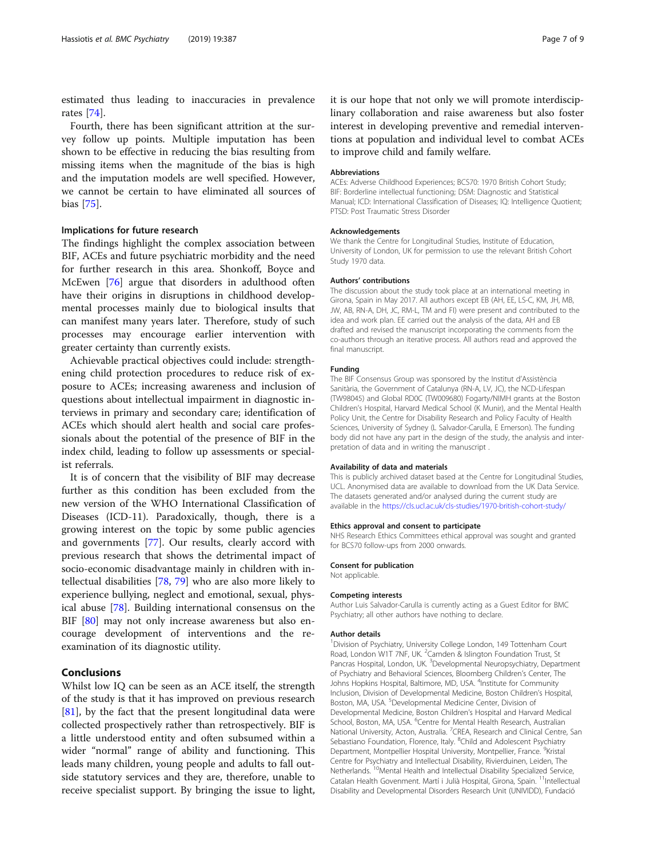estimated thus leading to inaccuracies in prevalence rates [\[74](#page-8-0)].

Fourth, there has been significant attrition at the survey follow up points. Multiple imputation has been shown to be effective in reducing the bias resulting from missing items when the magnitude of the bias is high and the imputation models are well specified. However, we cannot be certain to have eliminated all sources of bias [[75](#page-8-0)].

# Implications for future research

The findings highlight the complex association between BIF, ACEs and future psychiatric morbidity and the need for further research in this area. Shonkoff, Boyce and McEwen [[76](#page-8-0)] argue that disorders in adulthood often have their origins in disruptions in childhood developmental processes mainly due to biological insults that can manifest many years later. Therefore, study of such processes may encourage earlier intervention with greater certainty than currently exists.

Achievable practical objectives could include: strengthening child protection procedures to reduce risk of exposure to ACEs; increasing awareness and inclusion of questions about intellectual impairment in diagnostic interviews in primary and secondary care; identification of ACEs which should alert health and social care professionals about the potential of the presence of BIF in the index child, leading to follow up assessments or specialist referrals.

It is of concern that the visibility of BIF may decrease further as this condition has been excluded from the new version of the WHO International Classification of Diseases (ICD-11). Paradoxically, though, there is a growing interest on the topic by some public agencies and governments [\[77](#page-8-0)]. Our results, clearly accord with previous research that shows the detrimental impact of socio-economic disadvantage mainly in children with intellectual disabilities [[78,](#page-8-0) [79](#page-8-0)] who are also more likely to experience bullying, neglect and emotional, sexual, physical abuse [[78](#page-8-0)]. Building international consensus on the BIF [\[80](#page-8-0)] may not only increase awareness but also encourage development of interventions and the reexamination of its diagnostic utility.

# Conclusions

Whilst low IQ can be seen as an ACE itself, the strength of the study is that it has improved on previous research [[81\]](#page-8-0), by the fact that the present longitudinal data were collected prospectively rather than retrospectively. BIF is a little understood entity and often subsumed within a wider "normal" range of ability and functioning. This leads many children, young people and adults to fall outside statutory services and they are, therefore, unable to receive specialist support. By bringing the issue to light,

it is our hope that not only we will promote interdisciplinary collaboration and raise awareness but also foster interest in developing preventive and remedial interventions at population and individual level to combat ACEs to improve child and family welfare.

#### Abbreviations

ACEs: Adverse Childhood Experiences; BCS70: 1970 British Cohort Study; BIF: Borderline intellectual functioning; DSM: Diagnostic and Statistical Manual; ICD: International Classification of Diseases; IQ: Intelligence Quotient; PTSD: Post Traumatic Stress Disorder

#### Acknowledgements

We thank the Centre for Longitudinal Studies, Institute of Education, University of London, UK for permission to use the relevant British Cohort Study 1970 data.

#### Authors' contributions

The discussion about the study took place at an international meeting in Girona, Spain in May 2017. All authors except EB (AH, EE, LS-C, KM, JH, MB, JW, AB, RN-A, DH, JC, RM-L, TM and FI) were present and contributed to the idea and work plan. EE carried out the analysis of the data, AH and EB drafted and revised the manuscript incorporating the comments from the co-authors through an iterative process. All authors read and approved the final manuscript.

# Funding

The BIF Consensus Group was sponsored by the Institut d'Assistència Sanitària, the Government of Catalunya (RN-A, LV, JC), the NCD-Lifespan (TW98045) and Global RD0C (TW009680) Fogarty/NIMH grants at the Boston Children's Hospital, Harvard Medical School (K Munir), and the Mental Health Policy Unit, the Centre for Disability Research and Policy Faculty of Health Sciences, University of Sydney (L Salvador-Carulla, E Emerson). The funding body did not have any part in the design of the study, the analysis and interpretation of data and in writing the manuscript .

#### Availability of data and materials

This is publicly archived dataset based at the Centre for Longitudinal Studies, UCL. Anonymised data are available to download from the UK Data Service. The datasets generated and/or analysed during the current study are available in the <https://cls.ucl.ac.uk/cls-studies/1970-british-cohort-study/>

#### Ethics approval and consent to participate

NHS Research Ethics Committees ethical approval was sought and granted for BCS70 follow-ups from 2000 onwards.

# Consent for publication

Not applicable.

### Competing interests

Author Luis Salvador-Carulla is currently acting as a Guest Editor for BMC Psychiatry; all other authors have nothing to declare.

#### Author details

<sup>1</sup> Division of Psychiatry, University College London, 149 Tottenham Court Road, London W1T 7NF, UK. <sup>2</sup> Camden & Islington Foundation Trust, St Pancras Hospital, London, UK. <sup>3</sup>Developmental Neuropsychiatry, Department of Psychiatry and Behavioral Sciences, Bloomberg Children's Center, The Johns Hopkins Hospital, Baltimore, MD, USA. <sup>4</sup>Institute for Community Inclusion, Division of Developmental Medicine, Boston Children's Hospital, Boston, MA, USA. <sup>5</sup>Developmental Medicine Center, Division of Developmental Medicine, Boston Children's Hospital and Harvard Medical School, Boston, MA, USA. <sup>6</sup>Centre for Mental Health Research, Australian National University, Acton, Australia. <sup>7</sup>CREA, Research and Clinical Centre, San Sebastiano Foundation, Florence, Italy. <sup>8</sup>Child and Adolescent Psychiatry Department, Montpellier Hospital University, Montpellier, France. <sup>9</sup>Kristal Centre for Psychiatry and Intellectual Disability, Rivierduinen, Leiden, The Netherlands. 10Mental Health and Intellectual Disability Specialized Service, Catalan Health Govenment. Martí i Julià Hospital, Girona, Spain. <sup>11</sup>Intellectual Disability and Developmental Disorders Research Unit (UNIVIDD), Fundació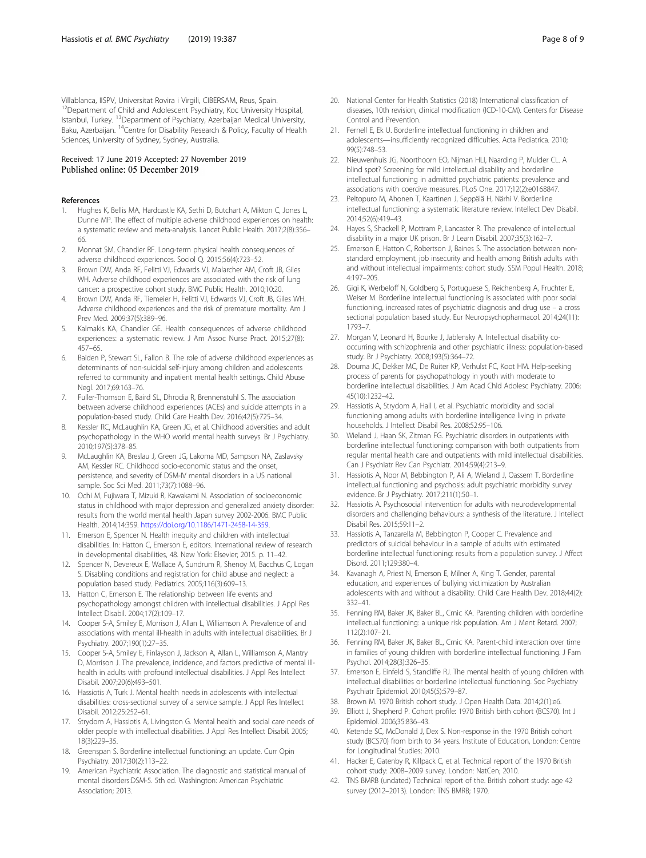<span id="page-7-0"></span>Villablanca, IISPV, Universitat Rovira i Virgili, CIBERSAM, Reus, Spain. <sup>12</sup>Department of Child and Adolescent Psychiatry, Koc University Hospital, Istanbul, Turkey. <sup>13</sup>Department of Psychiatry, Azerbaijan Medical University, Baku, Azerbaijan. <sup>14</sup>Centre for Disability Research & Policy, Faculty of Health Sciences, University of Sydney, Sydney, Australia.

# Received: 17 June 2019 Accepted: 27 November 2019 Published online: 05 December 2019

# References

- Hughes K, Bellis MA, Hardcastle KA, Sethi D, Butchart A, Mikton C, Jones L, Dunne MP. The effect of multiple adverse childhood experiences on health: a systematic review and meta-analysis. Lancet Public Health. 2017;2(8):356– 66.
- 2. Monnat SM, Chandler RF. Long-term physical health consequences of adverse childhood experiences. Sociol Q. 2015;56(4):723–52.
- 3. Brown DW, Anda RF, Felitti VJ, Edwards VJ, Malarcher AM, Croft JB, Giles WH. Adverse childhood experiences are associated with the risk of lung cancer: a prospective cohort study. BMC Public Health. 2010;10:20.
- 4. Brown DW, Anda RF, Tiemeier H, Felitti VJ, Edwards VJ, Croft JB, Giles WH. Adverse childhood experiences and the risk of premature mortality. Am J Prev Med. 2009;37(5):389–96.
- Kalmakis KA, Chandler GE. Health consequences of adverse childhood experiences: a systematic review. J Am Assoc Nurse Pract. 2015;27(8): 457–65.
- 6. Baiden P, Stewart SL, Fallon B. The role of adverse childhood experiences as determinants of non-suicidal self-injury among children and adolescents referred to community and inpatient mental health settings. Child Abuse Negl. 2017;69:163–76.
- 7. Fuller-Thomson E, Baird SL, Dhrodia R, Brennenstuhl S. The association between adverse childhood experiences (ACEs) and suicide attempts in a population-based study. Child Care Health Dev. 2016;42(5):725–34.
- 8. Kessler RC, McLaughlin KA, Green JG, et al. Childhood adversities and adult psychopathology in the WHO world mental health surveys. Br J Psychiatry. 2010;197(5):378–85.
- 9. McLaughlin KA, Breslau J, Green JG, Lakoma MD, Sampson NA, Zaslavsky AM, Kessler RC. Childhood socio-economic status and the onset, persistence, and severity of DSM-IV mental disorders in a US national sample. Soc Sci Med. 2011;73(7):1088–96.
- 10. Ochi M, Fujiwara T, Mizuki R, Kawakami N. Association of socioeconomic status in childhood with major depression and generalized anxiety disorder: results from the world mental health Japan survey 2002-2006. BMC Public Health. 2014;14:359. [https://doi.org/10.1186/1471-2458-14-359.](https://doi.org/10.1186/1471-2458-14-359)
- 11. Emerson E, Spencer N. Health inequity and children with intellectual disabilities. In: Hatton C, Emerson E, editors. International review of research in developmental disabilities, 48. New York: Elsevier; 2015. p. 11–42.
- 12. Spencer N, Devereux E, Wallace A, Sundrum R, Shenoy M, Bacchus C, Logan S. Disabling conditions and registration for child abuse and neglect: a population based study. Pediatrics. 2005;116(3):609–13.
- 13. Hatton C, Emerson E. The relationship between life events and psychopathology amongst children with intellectual disabilities. J Appl Res Intellect Disabil. 2004;17(2):109–17.
- 14. Cooper S-A, Smiley E, Morrison J, Allan L, Williamson A. Prevalence of and associations with mental ill-health in adults with intellectual disabilities. Br J Psychiatry. 2007;190(1):27–35.
- 15. Cooper S-A, Smiley E, Finlayson J, Jackson A, Allan L, Williamson A, Mantry D, Morrison J. The prevalence, incidence, and factors predictive of mental illhealth in adults with profound intellectual disabilities. J Appl Res Intellect Disabil. 2007;20(6):493–501.
- 16. Hassiotis A, Turk J. Mental health needs in adolescents with intellectual disabilities: cross-sectional survey of a service sample. J Appl Res Intellect Disabil. 2012;25:252–61.
- 17. Strydom A, Hassiotis A, Livingston G. Mental health and social care needs of older people with intellectual disabilities. J Appl Res Intellect Disabil. 2005; 18(3):229–35.
- 18. Greenspan S. Borderline intellectual functioning: an update. Curr Opin Psychiatry. 2017;30(2):113–22.
- 19. American Psychiatric Association. The diagnostic and statistical manual of mental disorders:DSM-5. 5th ed. Washington: American Psychiatric Association; 2013.
- 20. National Center for Health Statistics (2018) International classification of diseases, 10th revision, clinical modification (ICD-10-CM). Centers for Disease Control and Prevention.
- 21. Fernell E, Ek U. Borderline intellectual functioning in children and adolescents—insufficiently recognized difficulties. Acta Pediatrica. 2010; 99(5):748–53.
- 22. Nieuwenhuis JG, Noorthoorn EO, Nijman HLI, Naarding P, Mulder CL. A blind spot? Screening for mild intellectual disability and borderline intellectual functioning in admitted psychiatric patients: prevalence and associations with coercive measures. PLoS One. 2017;12(2):e0168847.
- 23. Peltopuro M, Ahonen T, Kaartinen J, Seppälä H, Närhi V. Borderline intellectual functioning: a systematic literature review. Intellect Dev Disabil. 2014;52(6):419–43.
- 24. Hayes S, Shackell P, Mottram P, Lancaster R. The prevalence of intellectual disability in a major UK prison. Br J Learn Disabil. 2007;35(3):162–7.
- 25. Emerson E, Hatton C, Robertson J, Baines S. The association between nonstandard employment, job insecurity and health among British adults with and without intellectual impairments: cohort study. SSM Popul Health. 2018; 4:197–205.
- 26. Gigi K, Werbeloff N, Goldberg S, Portuguese S, Reichenberg A, Fruchter E, Weiser M. Borderline intellectual functioning is associated with poor social functioning, increased rates of psychiatric diagnosis and drug use – a cross sectional population based study. Eur Neuropsychopharmacol. 2014;24(11): 1793–7.
- 27. Morgan V, Leonard H, Bourke J, Jablensky A. Intellectual disability cooccurring with schizophrenia and other psychiatric illness: population-based study. Br J Psychiatry. 2008;193(5):364–72.
- 28. Douma JC, Dekker MC, De Ruiter KP, Verhulst FC, Koot HM. Help-seeking process of parents for psychopathology in youth with moderate to borderline intellectual disabilities. J Am Acad Chld Adolesc Psychiatry. 2006; 45(10):1232–42.
- 29. Hassiotis A, Strydom A, Hall I, et al. Psychiatric morbidity and social functioning among adults with borderline intelligence living in private households. J Intellect Disabil Res. 2008;52:95–106.
- 30. Wieland J, Haan SK, Zitman FG. Psychiatric disorders in outpatients with borderline intellectual functioning: comparison with both outpatients from regular mental health care and outpatients with mild intellectual disabilities. Can J Psychiatr Rev Can Psychiatr. 2014;59(4):213–9.
- 31. Hassiotis A, Noor M, Bebbington P, Ali A, Wieland J, Qassem T. Borderline intellectual functioning and psychosis: adult psychiatric morbidity survey evidence. Br J Psychiatry. 2017;211(1):50–1.
- 32. Hassiotis A. Psychosocial intervention for adults with neurodevelopmental disorders and challenging behaviours: a synthesis of the literature. J Intellect Disabil Res. 2015;59:11–2.
- 33. Hassiotis A, Tanzarella M, Bebbington P, Cooper C. Prevalence and predictors of suicidal behaviour in a sample of adults with estimated borderline intellectual functioning: results from a population survey. J Affect Disord. 2011;129:380–4.
- 34. Kavanagh A, Priest N, Emerson E, Milner A, King T. Gender, parental education, and experiences of bullying victimization by Australian adolescents with and without a disability. Child Care Health Dev. 2018;44(2): 332–41.
- 35. Fenning RM, Baker JK, Baker BL, Crnic KA. Parenting children with borderline intellectual functioning: a unique risk population. Am J Ment Retard. 2007; 112(2):107–21.
- 36. Fenning RM, Baker JK, Baker BL, Crnic KA. Parent-child interaction over time in families of young children with borderline intellectual functioning. J Fam Psychol. 2014;28(3):326–35.
- 37. Emerson E, Einfeld S, Stancliffe RJ. The mental health of young children with intellectual disabilities or borderline intellectual functioning. Soc Psychiatry Psychiatr Epidemiol. 2010;45(5):579–87.
- 38. Brown M. 1970 British cohort study. J Open Health Data. 2014;2(1):e6.
- 39. Elliott J, Shepherd P. Cohort profile: 1970 British birth cohort (BCS70). Int J Epidemiol. 2006;35:836–43.
- Ketende SC, McDonald J, Dex S. Non-response in the 1970 British cohort study (BCS70) from birth to 34 years. Institute of Education, London: Centre for Longitudinal Studies; 2010.
- 41. Hacker E, Gatenby R, Killpack C, et al. Technical report of the 1970 British cohort study: 2008–2009 survey. London: NatCen; 2010.
- 42. TNS BMRB (undated) Technical report of the. British cohort study: age 42 survey (2012–2013). London: TNS BMRB; 1970.